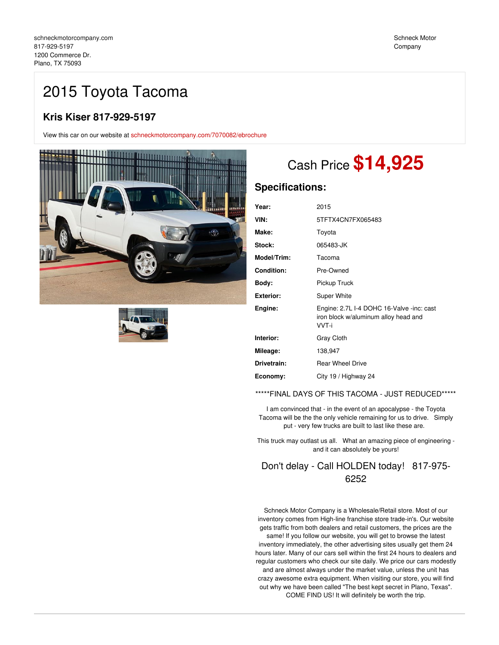# 2015 Toyota Tacoma

## **Kris Kiser 817-929-5197**

View this car on our website at [schneckmotorcompany.com/7070082/ebrochure](https://schneckmotorcompany.com/vehicle/7070082/2015-toyota-tacoma-plano-tx-75093/7070082/ebrochure)





# Cash Price **\$14,925**

## **Specifications:**

| Year:            | 2015                                                                                       |
|------------------|--------------------------------------------------------------------------------------------|
| VIN:             | 5TFTX4CN7FX065483                                                                          |
| Make:            | Toyota                                                                                     |
| Stock:           | 065483-JK                                                                                  |
| Model/Trim:      | Tacoma                                                                                     |
| Condition:       | Pre-Owned                                                                                  |
| Body:            | Pickup Truck                                                                               |
| <b>Exterior:</b> | Super White                                                                                |
| Engine:          | Engine: 2.7L I-4 DOHC 16-Valve -inc: cast<br>iron block w/aluminum alloy head and<br>VVT-i |
| Interior:        | Gray Cloth                                                                                 |
| Mileage:         | 138,947                                                                                    |
| Drivetrain:      | <b>Rear Wheel Drive</b>                                                                    |
| Economy:         | City 19 / Highway 24                                                                       |
|                  |                                                                                            |

\*\*\*\*\*FINAL DAYS OF THIS TACOMA - JUST REDUCED\*\*\*\*\*

I am convinced that - in the event of an apocalypse - the Toyota Tacoma will be the the only vehicle remaining for us to drive. Simply put - very few trucks are built to last like these are.

This truck may outlast us all. What an amazing piece of engineering and it can absolutely be yours!

## Don't delay - Call HOLDEN today! 817-975- 6252

Schneck Motor Company is a Wholesale/Retail store. Most of our inventory comes from High-line franchise store trade-in's. Our website gets traffic from both dealers and retail customers, the prices are the same! If you follow our website, you will get to browse the latest inventory immediately, the other advertising sites usually get them 24 hours later. Many of our cars sell within the first 24 hours to dealers and regular customers who check our site daily. We price our cars modestly and are almost always under the market value, unless the unit has crazy awesome extra equipment. When visiting our store, you will find out why we have been called "The best kept secret in Plano, Texas". COME FIND US! It will definitely be worth the trip.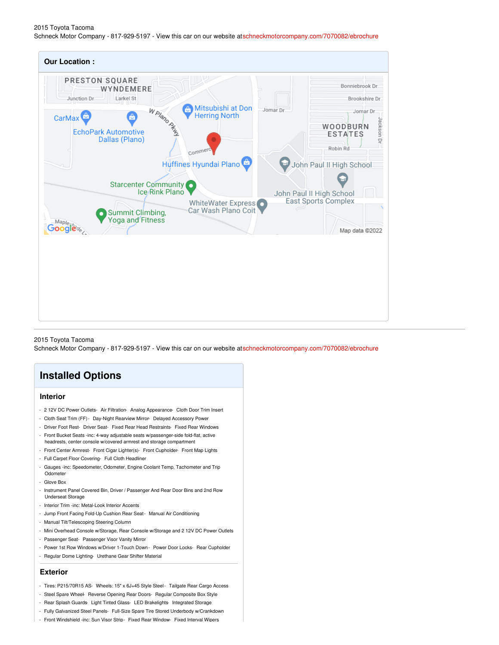#### 2015 Toyota Tacoma Schneck Motor Company - 817-929-5197 - View this car on our website at[schneckmotorcompany.com/7070082/ebrochure](https://schneckmotorcompany.com/vehicle/7070082/2015-toyota-tacoma-plano-tx-75093/7070082/ebrochure)

| <b>Our Location:</b>                                                                                                                                                                                                                                                                                                                                                                                     |                                                                                                                                                                                                                      |
|----------------------------------------------------------------------------------------------------------------------------------------------------------------------------------------------------------------------------------------------------------------------------------------------------------------------------------------------------------------------------------------------------------|----------------------------------------------------------------------------------------------------------------------------------------------------------------------------------------------------------------------|
| PRESTON SQUARE<br>WYNDEMERE<br>Larkel St<br>Junction Dr.<br>Mitsubishi at Don<br>W Plano Rfth<br><b>Herring North</b><br>ô<br><b>CarMax</b><br><b>EchoPark Automotive</b><br>Dallas (Plano)<br>Commerc<br>Huffines Hyundai Plano<br><b>Starcenter Community</b><br>٠<br>Ice/Rink Plano<br>WhiteWater Express o<br>Car Wash Plano Coit<br>Summit Climbing,<br><b>Yoga and Fitness</b><br>Maples<br>oogle% | Bonniebrook Dr.<br>Brookshire Dr.<br>Jomar Dr.<br>Jomar Dr.<br>Jackson Dr<br>WOODBURN<br><b>ESTATES</b><br>Robin Rd<br>John Paul II High School<br>John Paul II High School<br>East Sports Complex<br>Map data @2022 |

#### 2015 Toyota Tacoma

Schneck Motor Company - 817-929-5197 - View this car on our website at[schneckmotorcompany.com/7070082/ebrochure](https://schneckmotorcompany.com/vehicle/7070082/2015-toyota-tacoma-plano-tx-75093/7070082/ebrochure)

## **Installed Options**

### **Interior**

- 2 12V DC Power Outlets- Air Filtration- Analog Appearance- Cloth Door Trim Insert
- Cloth Seat Trim (FF)- Day-Night Rearview Mirror- Delayed Accessory Power
- Driver Foot Rest- Driver Seat- Fixed Rear Head Restraints- Fixed Rear Windows - Front Bucket Seats -inc: 4-way adjustable seats w/passenger-side fold-flat, active
- headrests, center console w/covered armrest and storage compartment - Front Center Armrest- Front Cigar Lighter(s)- Front Cupholder- Front Map Lights
- Full Carpet Floor Covering- Full Cloth Headliner
- Gauges -inc: Speedometer, Odometer, Engine Coolant Temp, Tachometer and Trip **Odometer**
- Glove Box
- Instrument Panel Covered Bin, Driver / Passenger And Rear Door Bins and 2nd Row Underseat Storage
- Interior Trim -inc: Metal-Look Interior Accents
- Jump Front Facing Fold-Up Cushion Rear Seat- Manual Air Conditioning
- Manual Tilt/Telescoping Steering Column
- Mini Overhead Console w/Storage, Rear Console w/Storage and 2 12V DC Power Outlets
- Passenger Seat- Passenger Visor Vanity Mirror
- Power 1st Row Windows w/Driver 1-Touch Down Power Door Locks- Rear Cupholder
- Regular Dome Lighting- Urethane Gear Shifter Material

#### **Exterior**

- Tires: P215/70R15 AS- Wheels: 15" x 6J+45 Style Steel- Tailgate Rear Cargo Access
- Steel Spare Wheel- Reverse Opening Rear Doors- Regular Composite Box Style
- Rear Splash Guards- Light Tinted Glass- LED Brakelights- Integrated Storage
- Fully Galvanized Steel Panels- Full-Size Spare Tire Stored Underbody w/Crankdown
- Front Windshield -inc: Sun Visor Strip- Fixed Rear Window- Fixed Interval Wipers